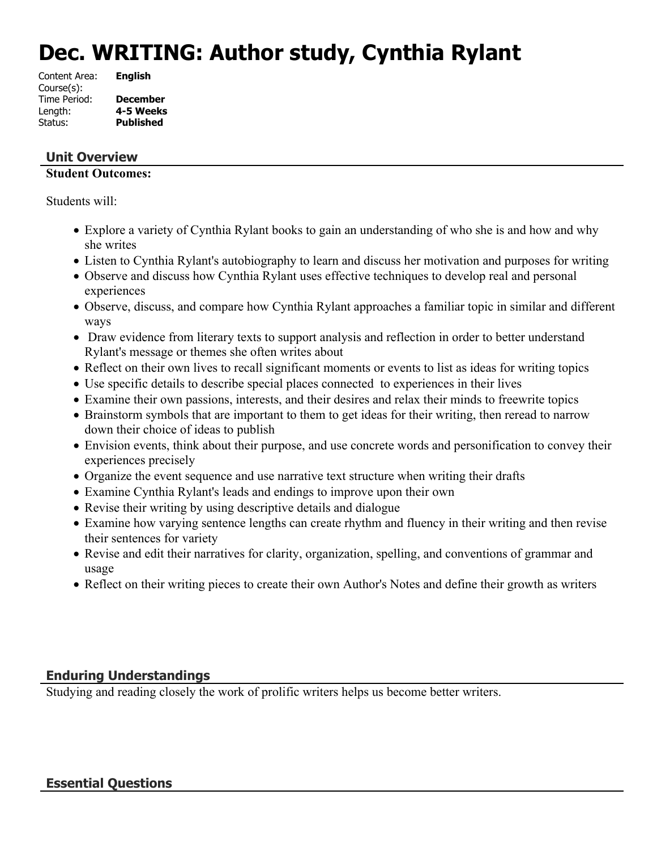# **Dec. WRITING: Author study, Cynthia Rylant**

| <b>English</b>   |
|------------------|
|                  |
| <b>December</b>  |
| 4-5 Weeks        |
| <b>Published</b> |
|                  |

# **Unit Overview**

# **Student Outcomes:**

Students will:

- Explore a variety of Cynthia Rylant books to gain an understanding of who she is and how and why she writes
- Listen to Cynthia Rylant's autobiography to learn and discuss her motivation and purposes for writing
- Observe and discuss how Cynthia Rylant uses effective techniques to develop real and personal experiences
- Observe, discuss, and compare how Cynthia Rylant approaches a familiar topic in similar and different ways
- Draw evidence from literary texts to support analysis and reflection in order to better understand Rylant's message or themes she often writes about
- Reflect on their own lives to recall significant moments or events to list as ideas for writing topics
- Use specific details to describe special places connected to experiences in their lives
- Examine their own passions, interests, and their desires and relax their minds to freewrite topics
- Brainstorm symbols that are important to them to get ideas for their writing, then reread to narrow down their choice of ideas to publish
- Envision events, think about their purpose, and use concrete words and personification to convey their experiences precisely
- Organize the event sequence and use narrative text structure when writing their drafts
- Examine Cynthia Rylant's leads and endings to improve upon their own
- Revise their writing by using descriptive details and dialogue
- Examine how varying sentence lengths can create rhythm and fluency in their writing and then revise their sentences for variety
- Revise and edit their narratives for clarity, organization, spelling, and conventions of grammar and usage
- Reflect on their writing pieces to create their own Author's Notes and define their growth as writers

# **Enduring Understandings**

Studying and reading closely the work of prolific writers helps us become better writers.

# **Essential Questions**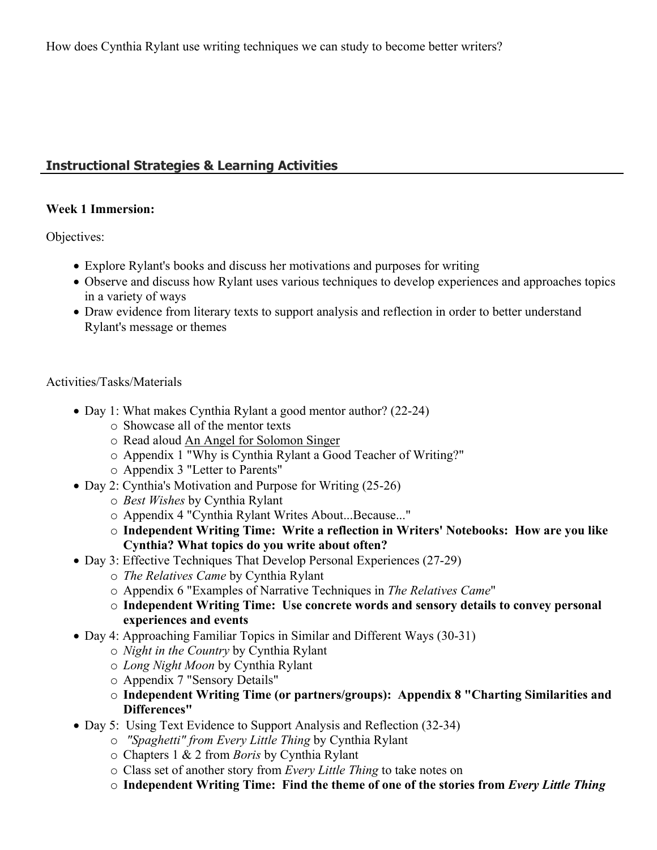# **Instructional Strategies & Learning Activities**

#### **Week 1 Immersion:**

Objectives:

- Explore Rylant's books and discuss her motivations and purposes for writing
- Observe and discuss how Rylant uses various techniques to develop experiences and approaches topics in a variety of ways
- Draw evidence from literary texts to support analysis and reflection in order to better understand Rylant's message or themes

#### Activities/Tasks/Materials

- Day 1: What makes Cynthia Rylant a good mentor author? (22-24)
	- o Showcase all of the mentor texts
	- o Read aloud An Angel for Solomon Singer
	- o Appendix 1 "Why is Cynthia Rylant a Good Teacher of Writing?"
	- o Appendix 3 "Letter to Parents"
- Day 2: Cynthia's Motivation and Purpose for Writing (25-26)
	- o *Best Wishes* by Cynthia Rylant
	- o Appendix 4 "Cynthia Rylant Writes About...Because..."
	- o **Independent Writing Time: Write a reflection in Writers' Notebooks: How are you like Cynthia? What topics do you write about often?**
- Day 3: Effective Techniques That Develop Personal Experiences (27-29)
	- o *The Relatives Came* by Cynthia Rylant
	- o Appendix 6 "Examples of Narrative Techniques in *The Relatives Came*"
	- o **Independent Writing Time: Use concrete words and sensory details to convey personal experiences and events**
- Day 4: Approaching Familiar Topics in Similar and Different Ways (30-31)
	- o *Night in the Country* by Cynthia Rylant
		- o *Long Night Moon* by Cynthia Rylant
		- o Appendix 7 "Sensory Details"
		- o **Independent Writing Time (or partners/groups): Appendix 8 "Charting Similarities and Differences"**
- Day 5: Using Text Evidence to Support Analysis and Reflection (32-34)
	- o *"Spaghetti" from Every Little Thing* by Cynthia Rylant
	- o Chapters 1 & 2 from *Boris* by Cynthia Rylant
	- o Class set of another story from *Every Little Thing* to take notes on
	- o **Independent Writing Time: Find the theme of one of the stories from** *Every Little Thing*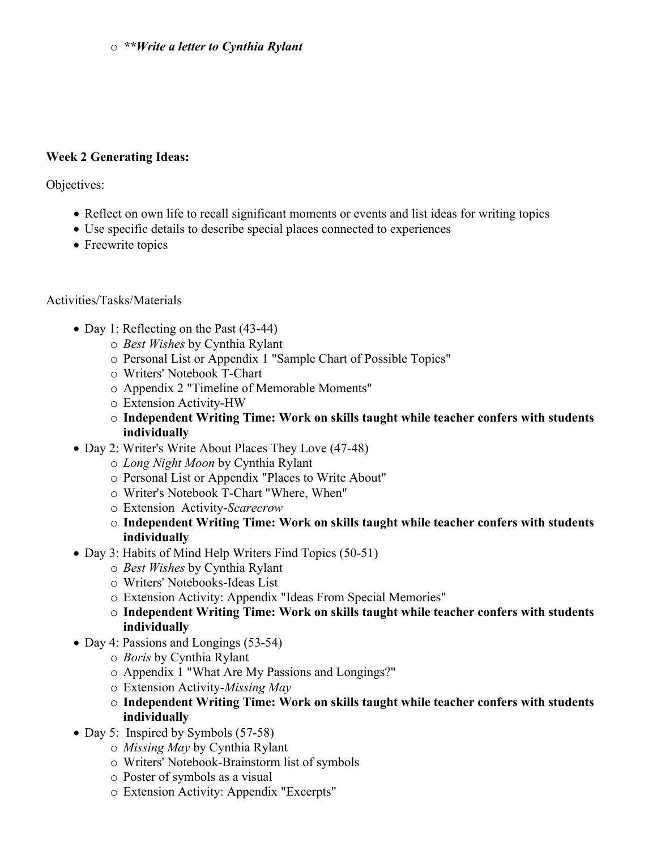#### o *\*\*Write a letter to Cynthia Rylant*

#### **Week 2 Generating Ideas:**

Objectives:

- Reflect on own life to recall significant moments or events and list ideas for writing topics
- Use specific details to describe special places connected to experiences
- Freewrite topics

#### Activities/Tasks/Materials

- Day 1: Reflecting on the Past (43-44)
	- o *Best Wishes* by Cynthia Rylant
	- o Personal List or Appendix 1 "Sample Chart of Possible Topics"
	- o Writers' Notebook T-Chart
	- o Appendix 2 "Timeline of Memorable Moments"
	- o Extension Activity-HW
	- o **Independent Writing Time: Work on skills taught while teacher confers with students individually**
- Day 2: Writer's Write About Places They Love (47-48)
	- o *Long Night Moon* by Cynthia Rylant
	- o Personal List or Appendix "Places to Write About"
	- o Writer's Notebook T-Chart "Where, When"
	- o Extension Activity-*Scarecrow*
	- o **Independent Writing Time: Work on skills taught while teacher confers with students individually**
- Day 3: Habits of Mind Help Writers Find Topics (50-51)
	- o *Best Wishes* by Cynthia Rylant
	- o Writers' Notebooks-Ideas List
	- o Extension Activity: Appendix "Ideas From Special Memories"
	- o **Independent Writing Time: Work on skills taught while teacher confers with students individually**
- Day 4: Passions and Longings (53-54)
	- o *Boris* by Cynthia Rylant
	- o Appendix 1 "What Are My Passions and Longings?"
	- o Extension Activity-*Missing May*
	- o **Independent Writing Time: Work on skills taught while teacher confers with students individually**
- Day 5: Inspired by Symbols (57-58)
	- o *Missing May* by Cynthia Rylant
	- o Writers' Notebook-Brainstorm list of symbols
	- o Poster of symbols as a visual
	- o Extension Activity: Appendix "Excerpts"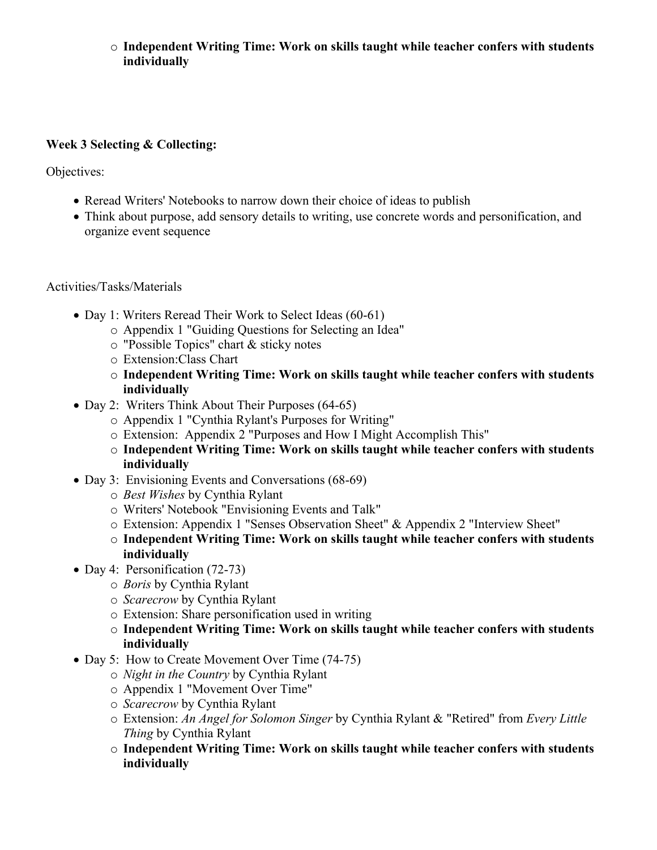# o **Independent Writing Time: Work on skills taught while teacher confers with students individually**

# **Week 3 Selecting & Collecting:**

Objectives:

- Reread Writers' Notebooks to narrow down their choice of ideas to publish
- Think about purpose, add sensory details to writing, use concrete words and personification, and organize event sequence

Activities/Tasks/Materials

- Day 1: Writers Reread Their Work to Select Ideas (60-61)
	- o Appendix 1 "Guiding Questions for Selecting an Idea"
	- o "Possible Topics" chart & sticky notes
	- o Extension:Class Chart
	- o **Independent Writing Time: Work on skills taught while teacher confers with students individually**
- Day 2: Writers Think About Their Purposes (64-65)
	- o Appendix 1 "Cynthia Rylant's Purposes for Writing"
	- o Extension: Appendix 2 "Purposes and How I Might Accomplish This"
	- o **Independent Writing Time: Work on skills taught while teacher confers with students individually**
- Day 3: Envisioning Events and Conversations (68-69)
	- o *Best Wishes* by Cynthia Rylant
	- o Writers' Notebook "Envisioning Events and Talk"
	- o Extension: Appendix 1 "Senses Observation Sheet" & Appendix 2 "Interview Sheet"
	- o **Independent Writing Time: Work on skills taught while teacher confers with students individually**
- Day 4: Personification (72-73)
	- o *Boris* by Cynthia Rylant
	- o *Scarecrow* by Cynthia Rylant
	- o Extension: Share personification used in writing
	- o **Independent Writing Time: Work on skills taught while teacher confers with students individually**
- Day 5: How to Create Movement Over Time (74-75)
	- o *Night in the Country* by Cynthia Rylant
	- o Appendix 1 "Movement Over Time"
	- o *Scarecrow* by Cynthia Rylant
	- o Extension: *An Angel for Solomon Singer* by Cynthia Rylant & "Retired" from *Every Little Thing* by Cynthia Rylant
	- o **Independent Writing Time: Work on skills taught while teacher confers with students individually**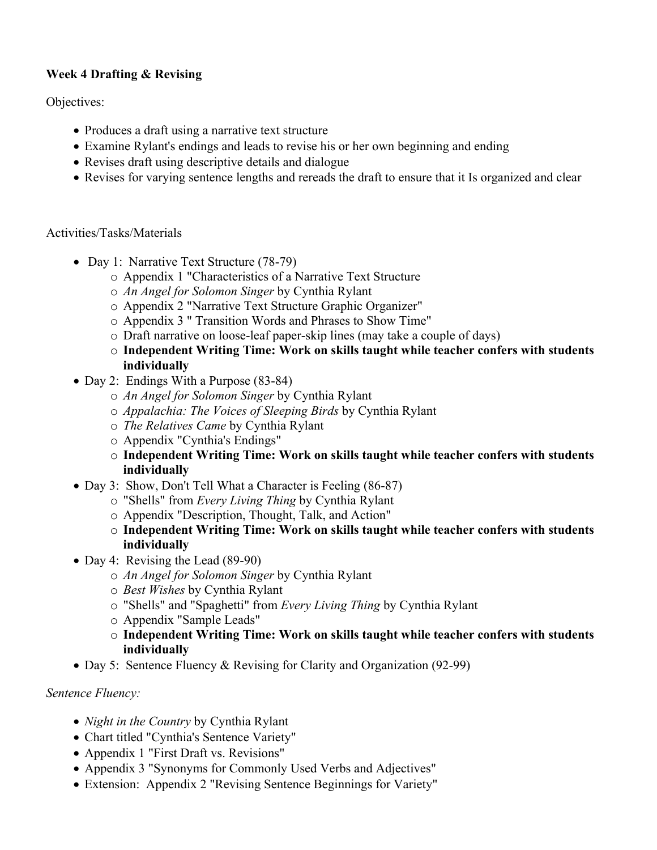# **Week 4 Drafting & Revising**

Objectives:

- Produces a draft using a narrative text structure
- Examine Rylant's endings and leads to revise his or her own beginning and ending
- Revises draft using descriptive details and dialogue
- Revises for varying sentence lengths and rereads the draft to ensure that it Is organized and clear

#### Activities/Tasks/Materials

- Day 1: Narrative Text Structure (78-79)
	- o Appendix 1 "Characteristics of a Narrative Text Structure
	- o *An Angel for Solomon Singer* by Cynthia Rylant
	- o Appendix 2 "Narrative Text Structure Graphic Organizer"
	- o Appendix 3 " Transition Words and Phrases to Show Time"
	- o Draft narrative on loose-leaf paper-skip lines (may take a couple of days)
	- o **Independent Writing Time: Work on skills taught while teacher confers with students individually**
- Day 2: Endings With a Purpose (83-84)
	- o *An Angel for Solomon Singer* by Cynthia Rylant
	- o *Appalachia: The Voices of Sleeping Birds* by Cynthia Rylant
	- o *The Relatives Came* by Cynthia Rylant
	- o Appendix "Cynthia's Endings"
	- o **Independent Writing Time: Work on skills taught while teacher confers with students individually**
- Day 3: Show, Don't Tell What a Character is Feeling (86-87)
	- o "Shells" from *Every Living Thing* by Cynthia Rylant
	- o Appendix "Description, Thought, Talk, and Action"
	- o **Independent Writing Time: Work on skills taught while teacher confers with students individually**
- Day 4: Revising the Lead (89-90)
	- o *An Angel for Solomon Singer* by Cynthia Rylant
	- o *Best Wishes* by Cynthia Rylant
	- o "Shells" and "Spaghetti" from *Every Living Thing* by Cynthia Rylant
	- o Appendix "Sample Leads"
	- o **Independent Writing Time: Work on skills taught while teacher confers with students individually**
- Day 5: Sentence Fluency & Revising for Clarity and Organization (92-99)

#### *Sentence Fluency:*

- *Night in the Country* by Cynthia Rylant
- Chart titled "Cynthia's Sentence Variety"
- Appendix 1 "First Draft vs. Revisions"
- Appendix 3 "Synonyms for Commonly Used Verbs and Adjectives"
- Extension: Appendix 2 "Revising Sentence Beginnings for Variety"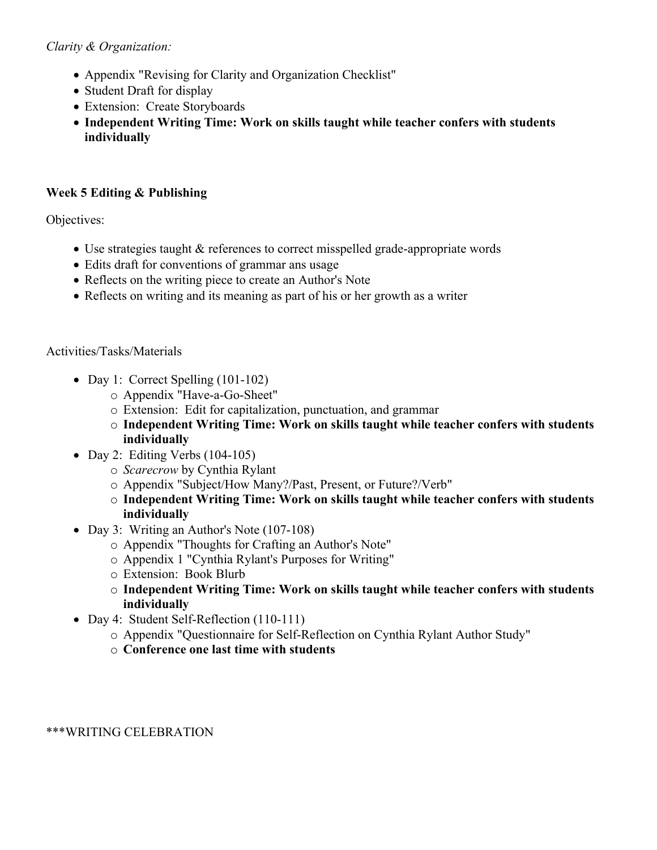# *Clarity & Organization:*

- Appendix "Revising for Clarity and Organization Checklist"
- Student Draft for display
- Extension: Create Storyboards
- **Independent Writing Time: Work on skills taught while teacher confers with students individually**

# **Week 5 Editing & Publishing**

Objectives:

- Use strategies taught & references to correct misspelled grade-appropriate words
- Edits draft for conventions of grammar ans usage
- Reflects on the writing piece to create an Author's Note
- Reflects on writing and its meaning as part of his or her growth as a writer

# Activities/Tasks/Materials

- Day 1: Correct Spelling (101-102)
	- o Appendix "Have-a-Go-Sheet"
	- o Extension: Edit for capitalization, punctuation, and grammar
	- o **Independent Writing Time: Work on skills taught while teacher confers with students individually**
- $\bullet$  Day 2: Editing Verbs (104-105)
	- o *Scarecrow* by Cynthia Rylant
	- o Appendix "Subject/How Many?/Past, Present, or Future?/Verb"
	- o **Independent Writing Time: Work on skills taught while teacher confers with students individually**
- Day 3: Writing an Author's Note (107-108)
	- o Appendix "Thoughts for Crafting an Author's Note"
	- o Appendix 1 "Cynthia Rylant's Purposes for Writing"
	- o Extension: Book Blurb
	- o **Independent Writing Time: Work on skills taught while teacher confers with students individually**
- Day 4: Student Self-Reflection (110-111)
	- o Appendix "Questionnaire for Self-Reflection on Cynthia Rylant Author Study"
	- o **Conference one last time with students**

\*\*\*WRITING CELEBRATION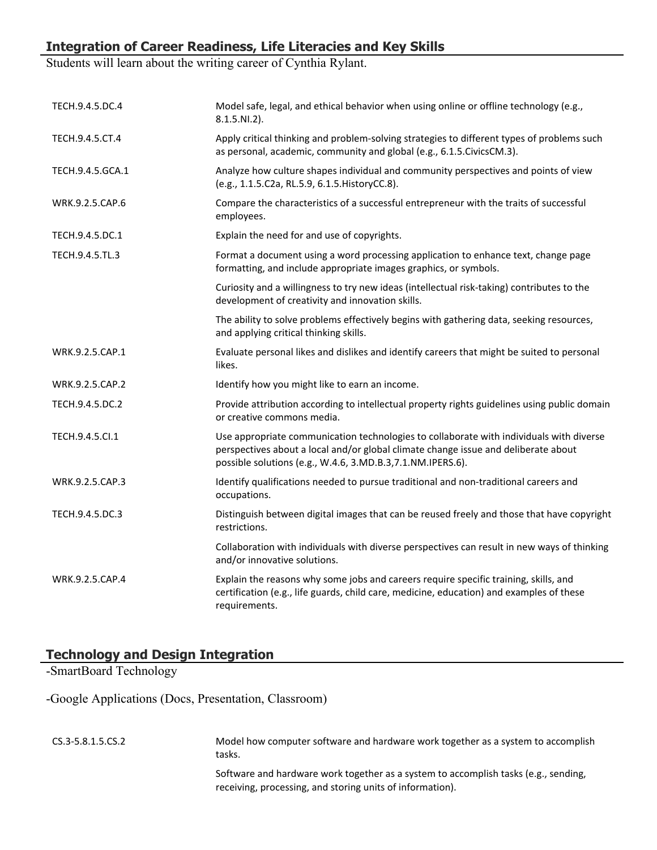# **Integration of Career Readiness, Life Literacies and Key Skills**

Students will learn about the writing career of Cynthia Rylant.

| TECH.9.4.5.DC.4  | Model safe, legal, and ethical behavior when using online or offline technology (e.g.,<br>$8.1.5.NI.2$ ).                                                                                                                                    |
|------------------|----------------------------------------------------------------------------------------------------------------------------------------------------------------------------------------------------------------------------------------------|
| TECH.9.4.5.CT.4  | Apply critical thinking and problem-solving strategies to different types of problems such<br>as personal, academic, community and global (e.g., 6.1.5. Civics CM.3).                                                                        |
| TECH.9.4.5.GCA.1 | Analyze how culture shapes individual and community perspectives and points of view<br>(e.g., 1.1.5.C2a, RL.5.9, 6.1.5. HistoryCC.8).                                                                                                        |
| WRK.9.2.5.CAP.6  | Compare the characteristics of a successful entrepreneur with the traits of successful<br>employees.                                                                                                                                         |
| TECH.9.4.5.DC.1  | Explain the need for and use of copyrights.                                                                                                                                                                                                  |
| TECH.9.4.5.TL.3  | Format a document using a word processing application to enhance text, change page<br>formatting, and include appropriate images graphics, or symbols.                                                                                       |
|                  | Curiosity and a willingness to try new ideas (intellectual risk-taking) contributes to the<br>development of creativity and innovation skills.                                                                                               |
|                  | The ability to solve problems effectively begins with gathering data, seeking resources,<br>and applying critical thinking skills.                                                                                                           |
| WRK.9.2.5.CAP.1  | Evaluate personal likes and dislikes and identify careers that might be suited to personal<br>likes.                                                                                                                                         |
| WRK.9.2.5.CAP.2  | Identify how you might like to earn an income.                                                                                                                                                                                               |
| TECH.9.4.5.DC.2  | Provide attribution according to intellectual property rights guidelines using public domain<br>or creative commons media.                                                                                                                   |
| TECH.9.4.5.Cl.1  | Use appropriate communication technologies to collaborate with individuals with diverse<br>perspectives about a local and/or global climate change issue and deliberate about<br>possible solutions (e.g., W.4.6, 3.MD.B.3, 7.1.NM.IPERS.6). |
| WRK.9.2.5.CAP.3  | Identify qualifications needed to pursue traditional and non-traditional careers and<br>occupations.                                                                                                                                         |
| TECH.9.4.5.DC.3  | Distinguish between digital images that can be reused freely and those that have copyright<br>restrictions.                                                                                                                                  |
|                  | Collaboration with individuals with diverse perspectives can result in new ways of thinking<br>and/or innovative solutions.                                                                                                                  |
| WRK.9.2.5.CAP.4  | Explain the reasons why some jobs and careers require specific training, skills, and<br>certification (e.g., life guards, child care, medicine, education) and examples of these<br>requirements.                                            |

# **Technology and Design Integration**

-SmartBoard Technology

-Google Applications (Docs, Presentation, Classroom)

| CS.3-5.8.1.5.CS.2 | Model how computer software and hardware work together as a system to accomplish<br>tasks.                                                       |
|-------------------|--------------------------------------------------------------------------------------------------------------------------------------------------|
|                   | Software and hardware work together as a system to accomplish tasks (e.g., sending,<br>receiving, processing, and storing units of information). |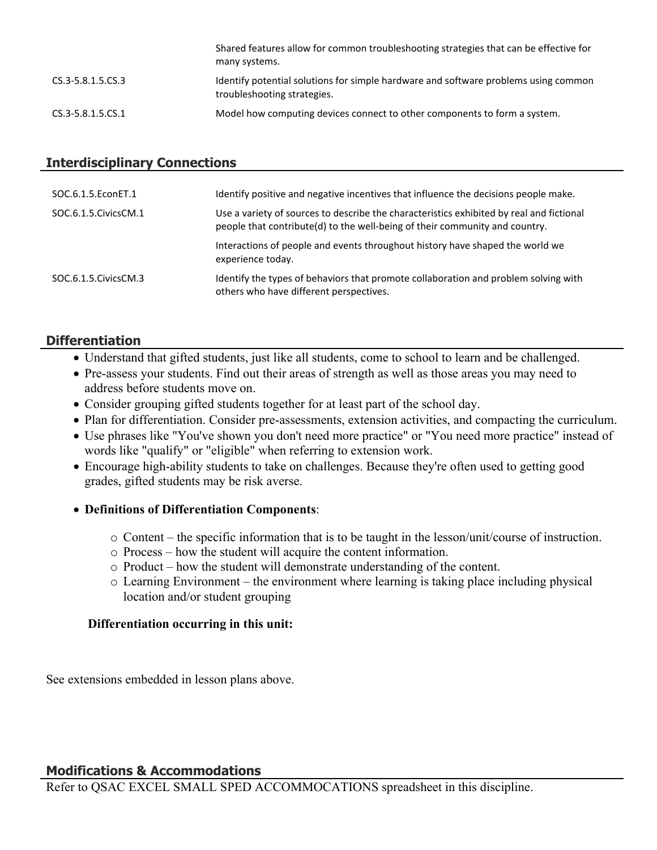|                   | Shared features allow for common troubleshooting strategies that can be effective for<br>many systems.             |
|-------------------|--------------------------------------------------------------------------------------------------------------------|
| CS.3-5.8.1.5.CS.3 | Identify potential solutions for simple hardware and software problems using common<br>troubleshooting strategies. |
| CS.3-5.8.1.5.CS.1 | Model how computing devices connect to other components to form a system.                                          |

## **Interdisciplinary Connections**

| SOC.6.1.5. EconET.1    | Identify positive and negative incentives that influence the decisions people make.                                                                                     |
|------------------------|-------------------------------------------------------------------------------------------------------------------------------------------------------------------------|
| SOC.6.1.5. Civics CM.1 | Use a variety of sources to describe the characteristics exhibited by real and fictional<br>people that contribute(d) to the well-being of their community and country. |
|                        | Interactions of people and events throughout history have shaped the world we<br>experience today.                                                                      |
| SOC.6.1.5. Civics CM.3 | Identify the types of behaviors that promote collaboration and problem solving with<br>others who have different perspectives.                                          |

# **Differentiation**

- Understand that gifted students, just like all students, come to school to learn and be challenged.
- Pre-assess your students. Find out their areas of strength as well as those areas you may need to address before students move on.
- Consider grouping gifted students together for at least part of the school day.
- Plan for differentiation. Consider pre-assessments, extension activities, and compacting the curriculum.
- Use phrases like "You've shown you don't need more practice" or "You need more practice" instead of words like "qualify" or "eligible" when referring to extension work.
- Encourage high-ability students to take on challenges. Because they're often used to getting good grades, gifted students may be risk averse.
- **Definitions of Differentiation Components**:
	- o Content the specific information that is to be taught in the lesson/unit/course of instruction.
	- o Process how the student will acquire the content information.
	- o Product how the student will demonstrate understanding of the content.
	- o Learning Environment the environment where learning is taking place including physical location and/or student grouping

#### **Differentiation occurring in this unit:**

See extensions embedded in lesson plans above.

# **Modifications & Accommodations**

Refer to QSAC EXCEL SMALL SPED ACCOMMOCATIONS spreadsheet in this discipline.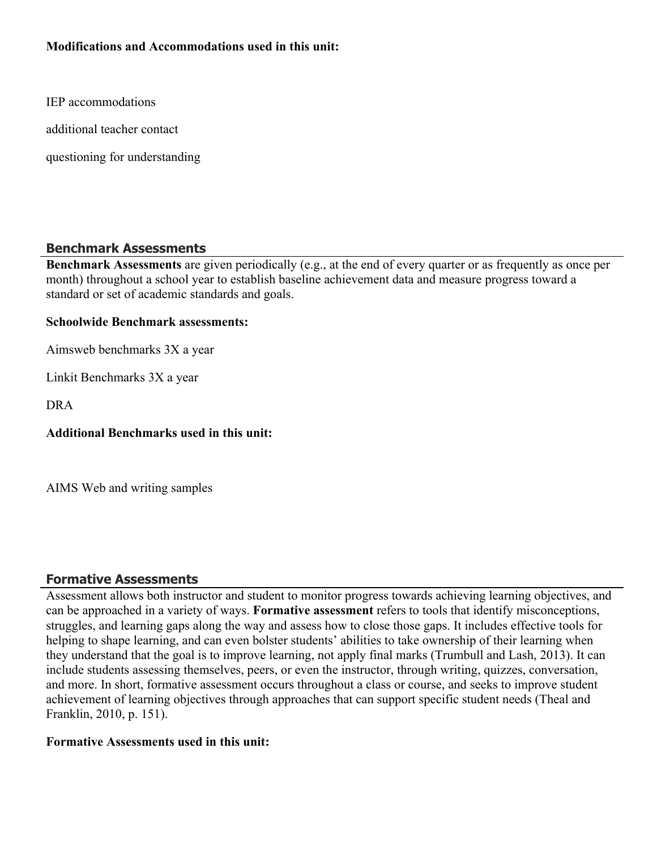## **Modifications and Accommodations used in this unit:**

IEP accommodations

additional teacher contact

questioning for understanding

#### **Benchmark Assessments**

**Benchmark Assessments** are given periodically (e.g., at the end of every quarter or as frequently as once per month) throughout a school year to establish baseline achievement data and measure progress toward a standard or set of academic standards and goals.

#### **Schoolwide Benchmark assessments:**

Aimsweb benchmarks 3X a year

Linkit Benchmarks 3X a year

DRA

**Additional Benchmarks used in this unit:**

AIMS Web and writing samples

# **Formative Assessments**

Assessment allows both instructor and student to monitor progress towards achieving learning objectives, and can be approached in a variety of ways. **Formative assessment** refers to tools that identify misconceptions, struggles, and learning gaps along the way and assess how to close those gaps. It includes effective tools for helping to shape learning, and can even bolster students' abilities to take ownership of their learning when they understand that the goal is to improve learning, not apply final marks (Trumbull and Lash, 2013). It can include students assessing themselves, peers, or even the instructor, through writing, quizzes, conversation, and more. In short, formative assessment occurs throughout a class or course, and seeks to improve student achievement of learning objectives through approaches that can support specific student needs (Theal and Franklin, 2010, p. 151).

#### **Formative Assessments used in this unit:**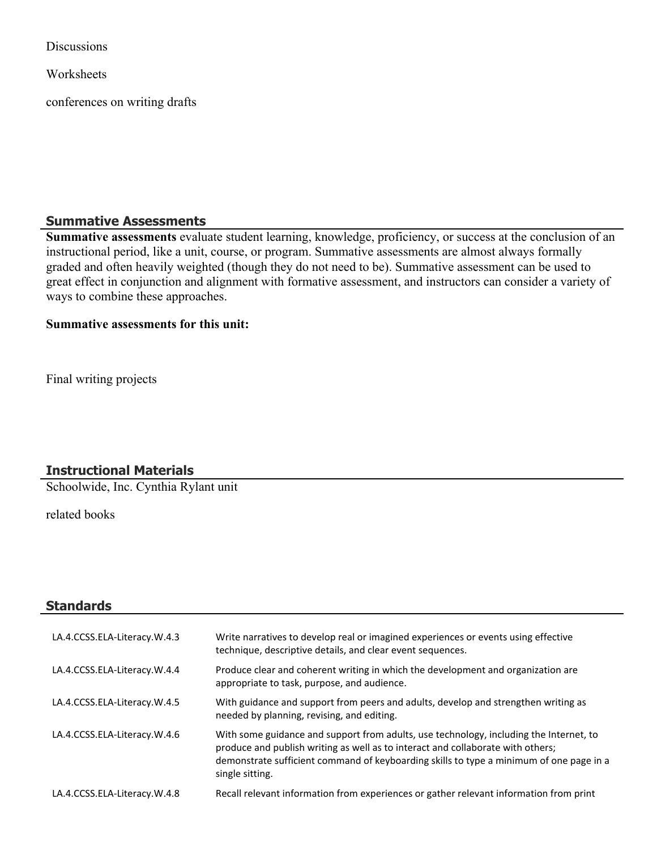**Discussions** 

**Worksheets** 

conferences on writing drafts

#### **Summative Assessments**

**Summative assessments** evaluate student learning, knowledge, proficiency, or success at the conclusion of an instructional period, like a unit, course, or program. Summative assessments are almost always formally graded and often heavily weighted (though they do not need to be). Summative assessment can be used to great effect in conjunction and alignment with formative assessment, and instructors can consider a variety of ways to combine these approaches.

#### **Summative assessments for this unit:**

Final writing projects

# **Instructional Materials**

Schoolwide, Inc. Cynthia Rylant unit

related books

| Standards                    |                                                                                                                                                                                                                                                                                         |
|------------------------------|-----------------------------------------------------------------------------------------------------------------------------------------------------------------------------------------------------------------------------------------------------------------------------------------|
| LA.4.CCSS.ELA-Literacy.W.4.3 | Write narratives to develop real or imagined experiences or events using effective<br>technique, descriptive details, and clear event sequences.                                                                                                                                        |
| LA.4.CCSS.ELA-Literacy.W.4.4 | Produce clear and coherent writing in which the development and organization are<br>appropriate to task, purpose, and audience.                                                                                                                                                         |
| LA.4.CCSS.ELA-Literacy.W.4.5 | With guidance and support from peers and adults, develop and strengthen writing as<br>needed by planning, revising, and editing.                                                                                                                                                        |
| LA.4.CCSS.ELA-Literacy.W.4.6 | With some guidance and support from adults, use technology, including the Internet, to<br>produce and publish writing as well as to interact and collaborate with others;<br>demonstrate sufficient command of keyboarding skills to type a minimum of one page in a<br>single sitting. |
| LA.4.CCSS.ELA-Literacy.W.4.8 | Recall relevant information from experiences or gather relevant information from print                                                                                                                                                                                                  |